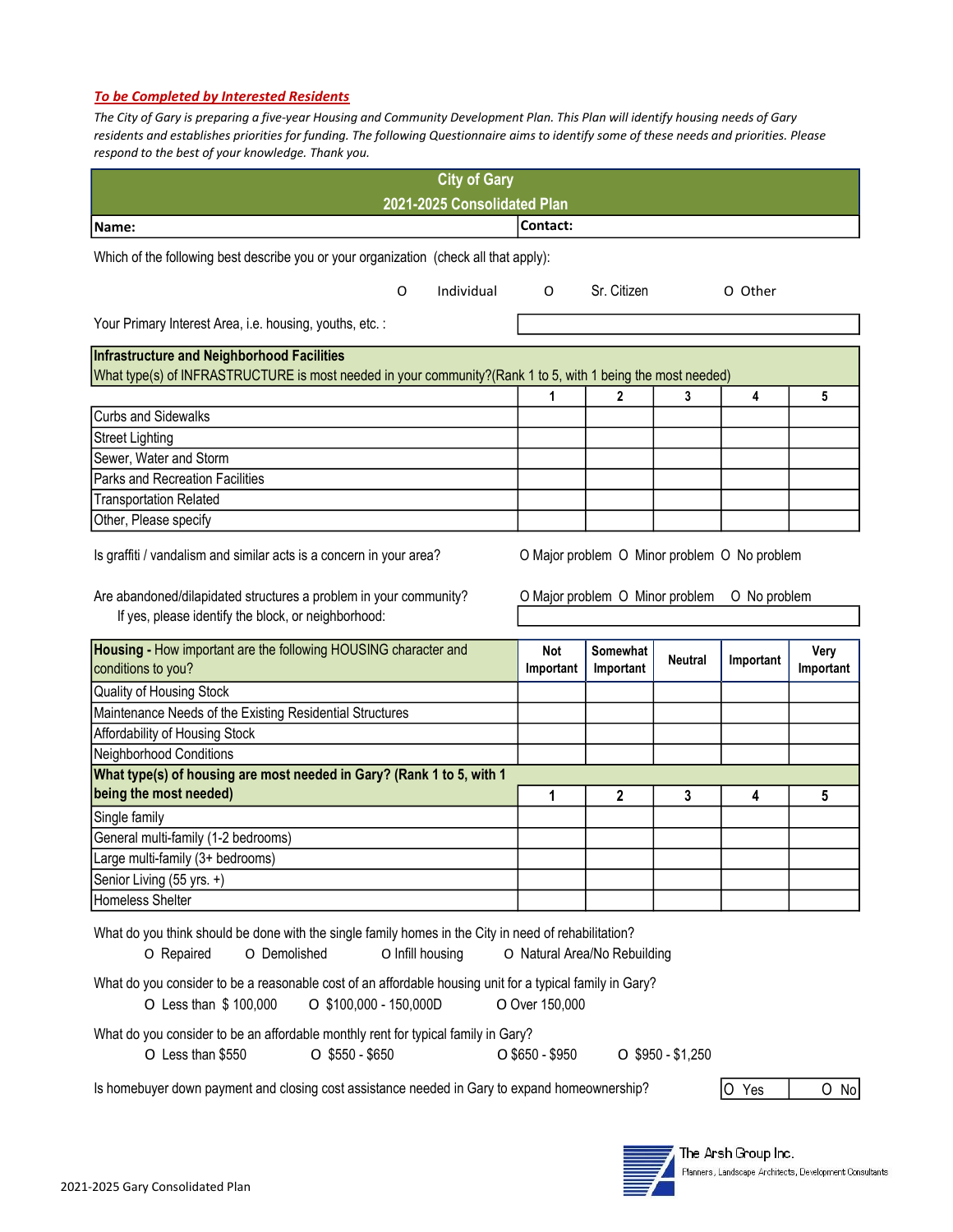## To be Completed by Interested Residents

The City of Gary is preparing a five-year Housing and Community Development Plan. This Plan will identify housing needs of Gary residents and establishes priorities for funding. The following Questionnaire aims to identify some of these needs and priorities. Please respond to the best of your knowledge. Thank you.

| <b>City of Gary</b>                                                                                                                                         |                                              |             |                     |           |           |  |  |  |
|-------------------------------------------------------------------------------------------------------------------------------------------------------------|----------------------------------------------|-------------|---------------------|-----------|-----------|--|--|--|
| 2021-2025 Consolidated Plan                                                                                                                                 |                                              |             |                     |           |           |  |  |  |
| Name:                                                                                                                                                       | Contact:                                     |             |                     |           |           |  |  |  |
| Which of the following best describe you or your organization (check all that apply):                                                                       |                                              |             |                     |           |           |  |  |  |
|                                                                                                                                                             |                                              |             |                     |           |           |  |  |  |
| Individual<br>O                                                                                                                                             | O                                            | Sr. Citizen |                     | O Other   |           |  |  |  |
| Your Primary Interest Area, i.e. housing, youths, etc.:                                                                                                     |                                              |             |                     |           |           |  |  |  |
|                                                                                                                                                             |                                              |             |                     |           |           |  |  |  |
| Infrastructure and Neighborhood Facilities<br>What type(s) of INFRASTRUCTURE is most needed in your community?(Rank 1 to 5, with 1 being the most needed)   |                                              |             |                     |           |           |  |  |  |
|                                                                                                                                                             | 1                                            | 2           | 3                   | 4         | 5         |  |  |  |
| <b>Curbs and Sidewalks</b>                                                                                                                                  |                                              |             |                     |           |           |  |  |  |
| <b>Street Lighting</b>                                                                                                                                      |                                              |             |                     |           |           |  |  |  |
| Sewer, Water and Storm                                                                                                                                      |                                              |             |                     |           |           |  |  |  |
| Parks and Recreation Facilities                                                                                                                             |                                              |             |                     |           |           |  |  |  |
| <b>Transportation Related</b>                                                                                                                               |                                              |             |                     |           |           |  |  |  |
| Other, Please specify                                                                                                                                       |                                              |             |                     |           |           |  |  |  |
| Is graffiti / vandalism and similar acts is a concern in your area?                                                                                         | O Major problem O Minor problem O No problem |             |                     |           |           |  |  |  |
| Are abandoned/dilapidated structures a problem in your community?<br>O Major problem O Minor problem<br>O No problem                                        |                                              |             |                     |           |           |  |  |  |
| If yes, please identify the block, or neighborhood:                                                                                                         |                                              |             |                     |           |           |  |  |  |
| Housing - How important are the following HOUSING character and                                                                                             | <b>Not</b>                                   | Somewhat    |                     |           |           |  |  |  |
|                                                                                                                                                             |                                              |             |                     |           |           |  |  |  |
|                                                                                                                                                             |                                              |             | <b>Neutral</b>      | Important | Very      |  |  |  |
| conditions to you?                                                                                                                                          | Important                                    | Important   |                     |           | Important |  |  |  |
| Quality of Housing Stock                                                                                                                                    |                                              |             |                     |           |           |  |  |  |
| Maintenance Needs of the Existing Residential Structures                                                                                                    |                                              |             |                     |           |           |  |  |  |
| Affordability of Housing Stock                                                                                                                              |                                              |             |                     |           |           |  |  |  |
| Neighborhood Conditions<br>What type(s) of housing are most needed in Gary? (Rank 1 to 5, with 1                                                            |                                              |             |                     |           |           |  |  |  |
| being the most needed)                                                                                                                                      | 1                                            | 2           | 3                   | 4         | 5         |  |  |  |
| Single family                                                                                                                                               |                                              |             |                     |           |           |  |  |  |
| General multi-family (1-2 bedrooms)                                                                                                                         |                                              |             |                     |           |           |  |  |  |
| Large multi-family (3+ bedrooms)                                                                                                                            |                                              |             |                     |           |           |  |  |  |
| Senior Living (55 yrs. +)                                                                                                                                   |                                              |             |                     |           |           |  |  |  |
| Homeless Shelter                                                                                                                                            |                                              |             |                     |           |           |  |  |  |
| What do you think should be done with the single family homes in the City in need of rehabilitation?<br>O Repaired<br>O Demolished<br>O Infill housing      | O Natural Area/No Rebuilding                 |             |                     |           |           |  |  |  |
| What do you consider to be a reasonable cost of an affordable housing unit for a typical family in Gary?<br>O \$100,000 - 150,000D<br>O Less than \$100,000 | O Over 150,000                               |             |                     |           |           |  |  |  |
| What do you consider to be an affordable monthly rent for typical family in Gary?<br>O Less than \$550<br>$O$ \$550 - \$650                                 | $O$ \$650 - \$950                            |             | $O$ \$950 - \$1,250 |           |           |  |  |  |